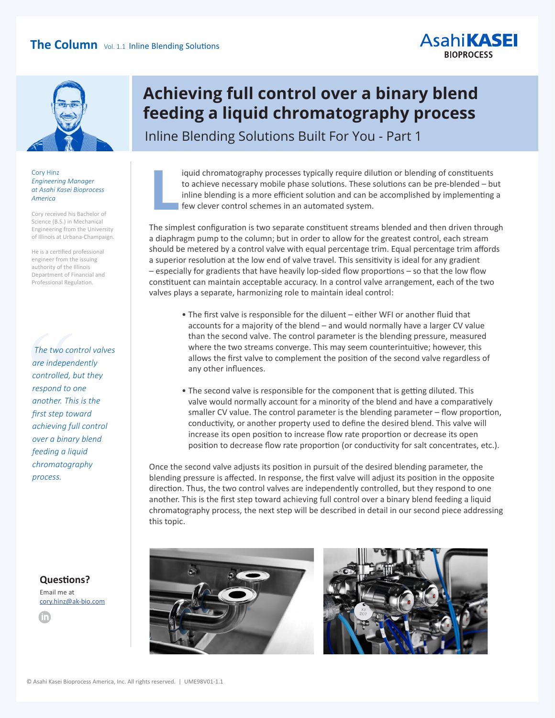## **The Column** Vol. 1.1 Inline Blending Solutions



#### Cory Hinz *Engineering Manager at Asahi Kasei Bioprocess America*

Cory received his Bachelor of Science (B.S.) in Mechanical Engineering from the University of Illinois at Urbana-Champaign.

He is a certified professional engineer from the issuing authority of the Illinois Department of Financial and Professional Regulation.

The two con<br>
are independ<br>
controlled, b.<br>
respond to o.<br>
another. This<br>
first step tow<br>
anothering full  *The two control valves are independently controlled, but they respond to one another. This is the first step toward achieving full control over a binary blend feeding a liquid chromatography process.*

**Questions?** Email me at [cory.hinz@ak-bio.com](mailto:cory.hinz%40ak-bio.com?subject=Binary%20blend%20feeding%20a%20liquid%20chromatography%20process)



## **Achieving full control over a binary blend feeding a liquid chromatography process**

Inline Blending Solutions Built For You - Part 1

iquid chromatography processes typically require dilution or blending of constituents to achieve necessary mobile phase solutions. These solutions can be pre-blended – but inline blending is a more efficient solution and can be accomplished by implementing a few clever control schemes in an automated system. **L**

**AsahiKASEI BIOPROCESS** 

The simplest configuration is two separate constituent streams blended and then driven through a diaphragm pump to the column; but in order to allow for the greatest control, each stream should be metered by a control valve with equal percentage trim. Equal percentage trim affords a superior resolution at the low end of valve travel. This sensitivity is ideal for any gradient – especially for gradients that have heavily lop-sided flow proportions – so that the low flow constituent can maintain acceptable accuracy. In a control valve arrangement, each of the two valves plays a separate, harmonizing role to maintain ideal control:

- The first valve is responsible for the diluent either WFI or another fluid that accounts for a majority of the blend – and would normally have a larger CV value than the second valve. The control parameter is the blending pressure, measured where the two streams converge. This may seem counterintuitive; however, this allows the first valve to complement the position of the second valve regardless of any other influences.
- The second valve is responsible for the component that is getting diluted. This valve would normally account for a minority of the blend and have a comparatively smaller CV value. The control parameter is the blending parameter – flow proportion, conductivity, or another property used to define the desired blend. This valve will increase its open position to increase flow rate proportion or decrease its open position to decrease flow rate proportion (or conductivity for salt concentrates, etc.).

Once the second valve adjusts its position in pursuit of the desired blending parameter, the blending pressure is affected. In response, the first valve will adjust its position in the opposite direction. Thus, the two control valves are independently controlled, but they respond to one another. This is the first step toward achieving full control over a binary blend feeding a liquid chromatography process, the next step will be described in detail in our second piece addressing this topic.